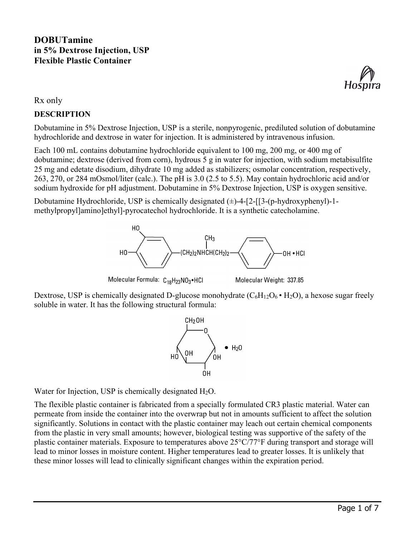

Rx only

#### **DESCRIPTION**

Dobutamine in 5% Dextrose Injection, USP is a sterile, nonpyrogenic, prediluted solution of dobutamine hydrochloride and dextrose in water for injection. It is administered by intravenous infusion.

Each 100 mL contains dobutamine hydrochloride equivalent to 100 mg, 200 mg, or 400 mg of dobutamine; dextrose (derived from corn), hydrous 5 g in water for injection, with sodium metabisulfite 25 mg and edetate disodium, dihydrate 10 mg added as stabilizers; osmolar concentration, respectively, 263, 270, or 284 mOsmol/liter (calc.). The pH is 3.0 (2.5 to 5.5). May contain hydrochloric acid and/or sodium hydroxide for pH adjustment. Dobutamine in 5% Dextrose Injection, USP is oxygen sensitive.

Dobutamine Hydrochloride, USP is chemically designated  $(\pm)$ -4-[2-[[3-(p-hydroxyphenyl)-1methylpropyl]amino]ethyl]-pyrocatechol hydrochloride. It is a synthetic catecholamine.



Molecular Formula: C<sub>18</sub>H<sub>23</sub>NO<sub>3</sub>•HCI

Molecular Weight: 337.85

Dextrose, USP is chemically designated D-glucose monohydrate  $(C_6H_{12}O_6 \cdot H_2O)$ , a hexose sugar freely soluble in water. It has the following structural formula:



Water for Injection, USP is chemically designated  $H_2O$ .

The flexible plastic container is fabricated from a specially formulated CR3 plastic material. Water can permeate from inside the container into the overwrap but not in amounts sufficient to affect the solution significantly. Solutions in contact with the plastic container may leach out certain chemical components from the plastic in very small amounts; however, biological testing was supportive of the safety of the plastic container materials. Exposure to temperatures above 25°C/77°F during transport and storage will lead to minor losses in moisture content. Higher temperatures lead to greater losses. It is unlikely that these minor losses will lead to clinically significant changes within the expiration period.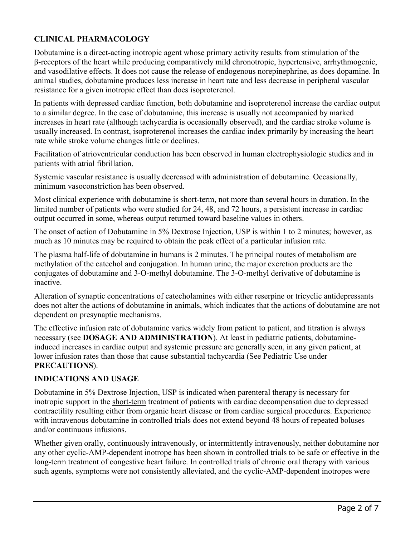# **CLINICAL PHARMACOLOGY**

Dobutamine is a direct-acting inotropic agent whose primary activity results from stimulation of the β-receptors of the heart while producing comparatively mild chronotropic, hypertensive, arrhythmogenic, and vasodilative effects. It does not cause the release of endogenous norepinephrine, as does dopamine. In animal studies, dobutamine produces less increase in heart rate and less decrease in peripheral vascular resistance for a given inotropic effect than does isoproterenol.

In patients with depressed cardiac function, both dobutamine and isoproterenol increase the cardiac output to a similar degree. In the case of dobutamine, this increase is usually not accompanied by marked increases in heart rate (although tachycardia is occasionally observed), and the cardiac stroke volume is usually increased. In contrast, isoproterenol increases the cardiac index primarily by increasing the heart rate while stroke volume changes little or declines.

Facilitation of atrioventricular conduction has been observed in human electrophysiologic studies and in patients with atrial fibrillation.

Systemic vascular resistance is usually decreased with administration of dobutamine. Occasionally, minimum vasoconstriction has been observed.

Most clinical experience with dobutamine is short-term, not more than several hours in duration. In the limited number of patients who were studied for 24, 48, and 72 hours, a persistent increase in cardiac output occurred in some, whereas output returned toward baseline values in others.

The onset of action of Dobutamine in 5% Dextrose Injection, USP is within 1 to 2 minutes; however, as much as 10 minutes may be required to obtain the peak effect of a particular infusion rate.

The plasma half-life of dobutamine in humans is 2 minutes. The principal routes of metabolism are methylation of the catechol and conjugation. In human urine, the major excretion products are the conjugates of dobutamine and 3-O-methyl dobutamine. The 3-O-methyl derivative of dobutamine is inactive.

Alteration of synaptic concentrations of catecholamines with either reserpine or tricyclic antidepressants does not alter the actions of dobutamine in animals, which indicates that the actions of dobutamine are not dependent on presynaptic mechanisms.

The effective infusion rate of dobutamine varies widely from patient to patient, and titration is always necessary (see **DOSAGE AND ADMINISTRATION**). At least in pediatric patients, dobutamineinduced increases in cardiac output and systemic pressure are generally seen, in any given patient, at lower infusion rates than those that cause substantial tachycardia (See Pediatric Use under **PRECAUTIONS**).

#### **INDICATIONS AND USAGE**

Dobutamine in 5% Dextrose Injection, USP is indicated when parenteral therapy is necessary for inotropic support in the short-term treatment of patients with cardiac decompensation due to depressed contractility resulting either from organic heart disease or from cardiac surgical procedures. Experience with intravenous dobutamine in controlled trials does not extend beyond 48 hours of repeated boluses and/or continuous infusions.

Whether given orally, continuously intravenously, or intermittently intravenously, neither dobutamine nor any other cyclic-AMP-dependent inotrope has been shown in controlled trials to be safe or effective in the long-term treatment of congestive heart failure. In controlled trials of chronic oral therapy with various such agents, symptoms were not consistently alleviated, and the cyclic-AMP-dependent inotropes were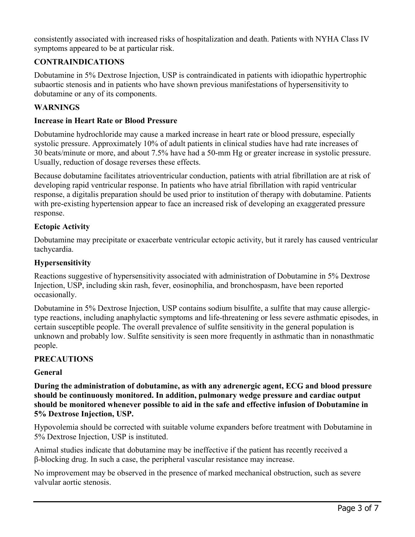consistently associated with increased risks of hospitalization and death. Patients with NYHA Class IV symptoms appeared to be at particular risk.

# **CONTRAINDICATIONS**

Dobutamine in 5% Dextrose Injection, USP is contraindicated in patients with idiopathic hypertrophic subaortic stenosis and in patients who have shown previous manifestations of hypersensitivity to dobutamine or any of its components.

### **WARNINGS**

#### **Increase in Heart Rate or Blood Pressure**

Dobutamine hydrochloride may cause a marked increase in heart rate or blood pressure, especially systolic pressure. Approximately 10% of adult patients in clinical studies have had rate increases of 30 beats/minute or more, and about 7.5% have had a 50-mm Hg or greater increase in systolic pressure. Usually, reduction of dosage reverses these effects.

Because dobutamine facilitates atrioventricular conduction, patients with atrial fibrillation are at risk of developing rapid ventricular response. In patients who have atrial fibrillation with rapid ventricular response, a digitalis preparation should be used prior to institution of therapy with dobutamine. Patients with pre-existing hypertension appear to face an increased risk of developing an exaggerated pressure response.

### **Ectopic Activity**

Dobutamine may precipitate or exacerbate ventricular ectopic activity, but it rarely has caused ventricular tachycardia.

### **Hypersensitivity**

Reactions suggestive of hypersensitivity associated with administration of Dobutamine in 5% Dextrose Injection, USP, including skin rash, fever, eosinophilia, and bronchospasm, have been reported occasionally.

Dobutamine in 5% Dextrose Injection, USP contains sodium bisulfite, a sulfite that may cause allergictype reactions, including anaphylactic symptoms and life-threatening or less severe asthmatic episodes, in certain susceptible people. The overall prevalence of sulfite sensitivity in the general population is unknown and probably low. Sulfite sensitivity is seen more frequently in asthmatic than in nonasthmatic people.

### **PRECAUTIONS**

### **General**

**During the administration of dobutamine, as with any adrenergic agent, ECG and blood pressure should be continuously monitored. In addition, pulmonary wedge pressure and cardiac output should be monitored whenever possible to aid in the safe and effective infusion of Dobutamine in 5% Dextrose Injection, USP.**

Hypovolemia should be corrected with suitable volume expanders before treatment with Dobutamine in 5% Dextrose Injection, USP is instituted.

Animal studies indicate that dobutamine may be ineffective if the patient has recently received a β-blocking drug. In such a case, the peripheral vascular resistance may increase.

No improvement may be observed in the presence of marked mechanical obstruction, such as severe valvular aortic stenosis.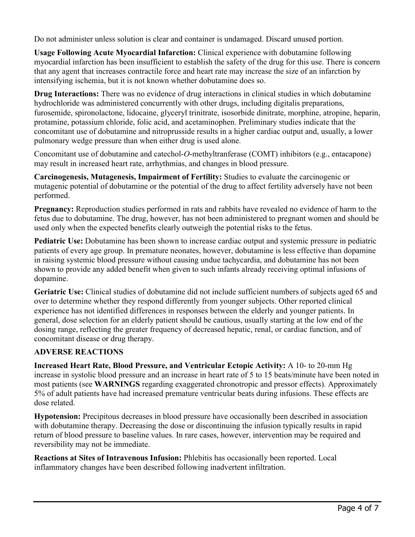Do not administer unless solution is clear and container is undamaged. Discard unused portion.

**Usage Following Acute Myocardial Infarction:** Clinical experience with dobutamine following myocardial infarction has been insufficient to establish the safety of the drug for this use. There is concern that any agent that increases contractile force and heart rate may increase the size of an infarction by intensifying ischemia, but it is not known whether dobutamine does so.

**Drug Interactions:** There was no evidence of drug interactions in clinical studies in which dobutamine hydrochloride was administered concurrently with other drugs, including digitalis preparations, furosemide, spironolactone, lidocaine, glyceryl trinitrate, isosorbide dinitrate, morphine, atropine, heparin, protamine, potassium chloride, folic acid, and acetaminophen. Preliminary studies indicate that the concomitant use of dobutamine and nitroprusside results in a higher cardiac output and, usually, a lower pulmonary wedge pressure than when either drug is used alone.

Concomitant use of dobutamine and catechol-*O*-methyltranferase (COMT) inhibitors (e.g., entacapone) may result in increased heart rate, arrhythmias, and changes in blood pressure.

**Carcinogenesis, Mutagenesis, Impairment of Fertility:** Studies to evaluate the carcinogenic or mutagenic potential of dobutamine or the potential of the drug to affect fertility adversely have not been performed.

**Pregnancy:** Reproduction studies performed in rats and rabbits have revealed no evidence of harm to the fetus due to dobutamine. The drug, however, has not been administered to pregnant women and should be used only when the expected benefits clearly outweigh the potential risks to the fetus.

**Pediatric Use:** Dobutamine has been shown to increase cardiac output and systemic pressure in pediatric patients of every age group. In premature neonates, however, dobutamine is less effective than dopamine in raising systemic blood pressure without causing undue tachycardia, and dobutamine has not been shown to provide any added benefit when given to such infants already receiving optimal infusions of dopamine.

**Geriatric Use:** Clinical studies of dobutamine did not include sufficient numbers of subjects aged 65 and over to determine whether they respond differently from younger subjects. Other reported clinical experience has not identified differences in responses between the elderly and younger patients. In general, dose selection for an elderly patient should be cautious, usually starting at the low end of the dosing range, reflecting the greater frequency of decreased hepatic, renal, or cardiac function, and of concomitant disease or drug therapy.

### **ADVERSE REACTIONS**

**Increased Heart Rate, Blood Pressure, and Ventricular Ectopic Activity:** A 10- to 20-mm Hg increase in systolic blood pressure and an increase in heart rate of 5 to 15 beats/minute have been noted in most patients (see **WARNINGS** regarding exaggerated chronotropic and pressor effects). Approximately 5% of adult patients have had increased premature ventricular beats during infusions. These effects are dose related.

**Hypotension:** Precipitous decreases in blood pressure have occasionally been described in association with dobutamine therapy. Decreasing the dose or discontinuing the infusion typically results in rapid return of blood pressure to baseline values. In rare cases, however, intervention may be required and reversibility may not be immediate.

**Reactions at Sites of Intravenous Infusion:** Phlebitis has occasionally been reported. Local inflammatory changes have been described following inadvertent infiltration.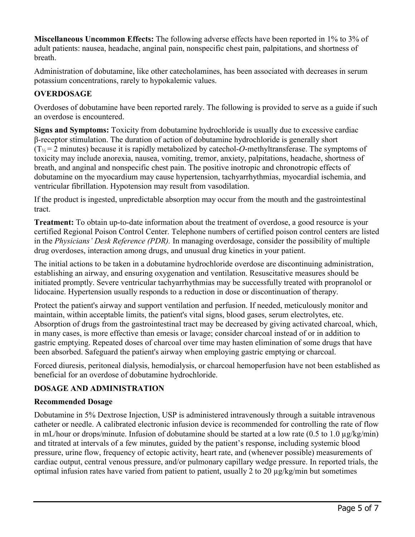**Miscellaneous Uncommon Effects:** The following adverse effects have been reported in 1% to 3% of adult patients: nausea, headache, anginal pain, nonspecific chest pain, palpitations, and shortness of breath.

Administration of dobutamine, like other catecholamines, has been associated with decreases in serum potassium concentrations, rarely to hypokalemic values.

# **OVERDOSAGE**

Overdoses of dobutamine have been reported rarely. The following is provided to serve as a guide if such an overdose is encountered.

**Signs and Symptoms:** Toxicity from dobutamine hydrochloride is usually due to excessive cardiac β-receptor stimulation. The duration of action of dobutamine hydrochloride is generally short  $(T_{1/2} = 2 \text{ minutes})$  because it is rapidly metabolized by catechol-*O*-methyltransferase. The symptoms of toxicity may include anorexia, nausea, vomiting, tremor, anxiety, palpitations, headache, shortness of breath, and anginal and nonspecific chest pain. The positive inotropic and chronotropic effects of dobutamine on the myocardium may cause hypertension, tachyarrhythmias, myocardial ischemia, and ventricular fibrillation. Hypotension may result from vasodilation.

If the product is ingested, unpredictable absorption may occur from the mouth and the gastrointestinal tract.

**Treatment:** To obtain up-to-date information about the treatment of overdose, a good resource is your certified Regional Poison Control Center. Telephone numbers of certified poison control centers are listed in the *Physicians' Desk Reference (PDR).* In managing overdosage, consider the possibility of multiple drug overdoses, interaction among drugs, and unusual drug kinetics in your patient.

The initial actions to be taken in a dobutamine hydrochloride overdose are discontinuing administration, establishing an airway, and ensuring oxygenation and ventilation. Resuscitative measures should be initiated promptly. Severe ventricular tachyarrhythmias may be successfully treated with propranolol or lidocaine. Hypertension usually responds to a reduction in dose or discontinuation of therapy.

Protect the patient's airway and support ventilation and perfusion. If needed, meticulously monitor and maintain, within acceptable limits, the patient's vital signs, blood gases, serum electrolytes, etc. Absorption of drugs from the gastrointestinal tract may be decreased by giving activated charcoal, which, in many cases, is more effective than emesis or lavage; consider charcoal instead of or in addition to gastric emptying. Repeated doses of charcoal over time may hasten elimination of some drugs that have been absorbed. Safeguard the patient's airway when employing gastric emptying or charcoal.

Forced diuresis, peritoneal dialysis, hemodialysis, or charcoal hemoperfusion have not been established as beneficial for an overdose of dobutamine hydrochloride.

# **DOSAGE AND ADMINISTRATION**

### **Recommended Dosage**

Dobutamine in 5% Dextrose Injection, USP is administered intravenously through a suitable intravenous catheter or needle. A calibrated electronic infusion device is recommended for controlling the rate of flow in mL/hour or drops/minute. Infusion of dobutamine should be started at a low rate (0.5 to 1.0  $\mu$ g/kg/min) and titrated at intervals of a few minutes, guided by the patient's response, including systemic blood pressure, urine flow, frequency of ectopic activity, heart rate, and (whenever possible) measurements of cardiac output, central venous pressure, and/or pulmonary capillary wedge pressure. In reported trials, the optimal infusion rates have varied from patient to patient, usually 2 to 20  $\mu$ g/kg/min but sometimes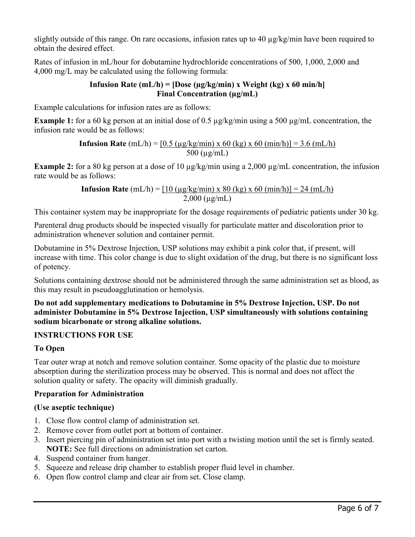slightly outside of this range. On rare occasions, infusion rates up to 40  $\mu$ g/kg/min have been required to obtain the desired effect.

Rates of infusion in mL/hour for dobutamine hydrochloride concentrations of 500, 1,000, 2,000 and 4,000 mg/L may be calculated using the following formula:

#### **Infusion Rate (mL/h) = [Dose (µg/kg/min) x Weight (kg) x 60 min/h] Final Concentration (µg/mL)**

Example calculations for infusion rates are as follows:

**Example 1:** for a 60 kg person at an initial dose of 0.5  $\mu$ g/kg/min using a 500  $\mu$ g/mL concentration, the infusion rate would be as follows:

> **Infusion Rate**  $(mL/h) = [0.5 (\mu g/kg/min) \times 60 (kg) \times 60 (min/h)] = 3.6 (mL/h)$ 500 (µg/mL)

**Example 2:** for a 80 kg person at a dose of 10  $\mu$ g/kg/min using a 2,000  $\mu$ g/mL concentration, the infusion rate would be as follows:

> **Infusion Rate**  $(mL/h) = [10 (\mu g/kg/min) \times 80 (kg) \times 60 (min/h)] = 24 (mL/h)$  $2,000$  ( $\mu$ g/mL)

This container system may be inappropriate for the dosage requirements of pediatric patients under 30 kg.

Parenteral drug products should be inspected visually for particulate matter and discoloration prior to administration whenever solution and container permit.

Dobutamine in 5% Dextrose Injection, USP solutions may exhibit a pink color that, if present, will increase with time. This color change is due to slight oxidation of the drug, but there is no significant loss of potency.

Solutions containing dextrose should not be administered through the same administration set as blood, as this may result in pseudoagglutination or hemolysis.

**Do not add supplementary medications to Dobutamine in 5% Dextrose Injection, USP. Do not administer Dobutamine in 5% Dextrose Injection, USP simultaneously with solutions containing sodium bicarbonate or strong alkaline solutions.**

### **INSTRUCTIONS FOR USE**

# **To Open**

Tear outer wrap at notch and remove solution container. Some opacity of the plastic due to moisture absorption during the sterilization process may be observed. This is normal and does not affect the solution quality or safety. The opacity will diminish gradually.

### **Preparation for Administration**

# **(Use aseptic technique)**

- 1. Close flow control clamp of administration set.
- 2. Remove cover from outlet port at bottom of container.
- 3. Insert piercing pin of administration set into port with a twisting motion until the set is firmly seated. **NOTE:** See full directions on administration set carton.
- 4. Suspend container from hanger.
- 5. Squeeze and release drip chamber to establish proper fluid level in chamber.
- 6. Open flow control clamp and clear air from set. Close clamp.